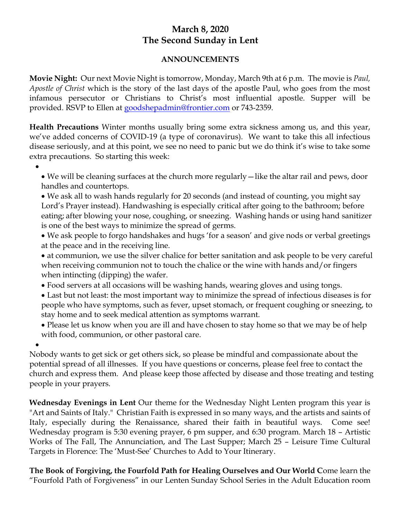## **March 8, 2020 The Second Sunday in Lent**

## **ANNOUNCEMENTS**

**Movie Night:** Our next Movie Night is tomorrow, Monday, March 9th at 6 p.m. The movie is *Paul, Apostle of Christ* which is the story of the last days of the apostle Paul, who goes from the most infamous persecutor or Christians to Christ's most influential apostle. Supper will be provided. RSVP to Ellen at [goodshepadmin@frontier.com](mailto:goodshepadmin@frontier.com) or 743-2359.

**Health Precautions** Winter months usually bring some extra sickness among us, and this year, we've added concerns of COVID-19 (a type of coronavirus). We want to take this all infectious disease seriously, and at this point, we see no need to panic but we do think it's wise to take some extra precautions. So starting this week:

•

• We will be cleaning surfaces at the church more regularly—like the altar rail and pews, door handles and countertops.

• We ask all to wash hands regularly for 20 seconds (and instead of counting, you might say Lord's Prayer instead). Handwashing is especially critical after going to the bathroom; before eating; after blowing your nose, coughing, or sneezing. Washing hands or using hand sanitizer is one of the best ways to minimize the spread of germs.

- We ask people to forgo handshakes and hugs 'for a season' and give nods or verbal greetings at the peace and in the receiving line.
- at communion, we use the silver chalice for better sanitation and ask people to be very careful when receiving communion not to touch the chalice or the wine with hands and/or fingers when intincting (dipping) the wafer.
- Food servers at all occasions will be washing hands, wearing gloves and using tongs.
- Last but not least: the most important way to minimize the spread of infectious diseases is for people who have symptoms, such as fever, upset stomach, or frequent coughing or sneezing, to stay home and to seek medical attention as symptoms warrant.
- Please let us know when you are ill and have chosen to stay home so that we may be of help with food, communion, or other pastoral care.

• Nobody wants to get sick or get others sick, so please be mindful and compassionate about the potential spread of all illnesses. If you have questions or concerns, please feel free to contact the church and express them. And please keep those affected by disease and those treating and testing people in your prayers.

**Wednesday Evenings in Lent** Our theme for the Wednesday Night Lenten program this year is "Art and Saints of Italy." Christian Faith is expressed in so many ways, and the artists and saints of Italy, especially during the Renaissance, shared their faith in beautiful ways. Come see! Wednesday program is 5:30 evening prayer, 6 pm supper, and 6:30 program. March 18 – Artistic Works of The Fall, The Annunciation, and The Last Supper; March 25 – Leisure Time Cultural Targets in Florence: The 'Must-See' Churches to Add to Your Itinerary.

**The Book of Forgiving, the Fourfold Path for Healing Ourselves and Our World C**ome learn the "Fourfold Path of Forgiveness" in our Lenten Sunday School Series in the Adult Education room